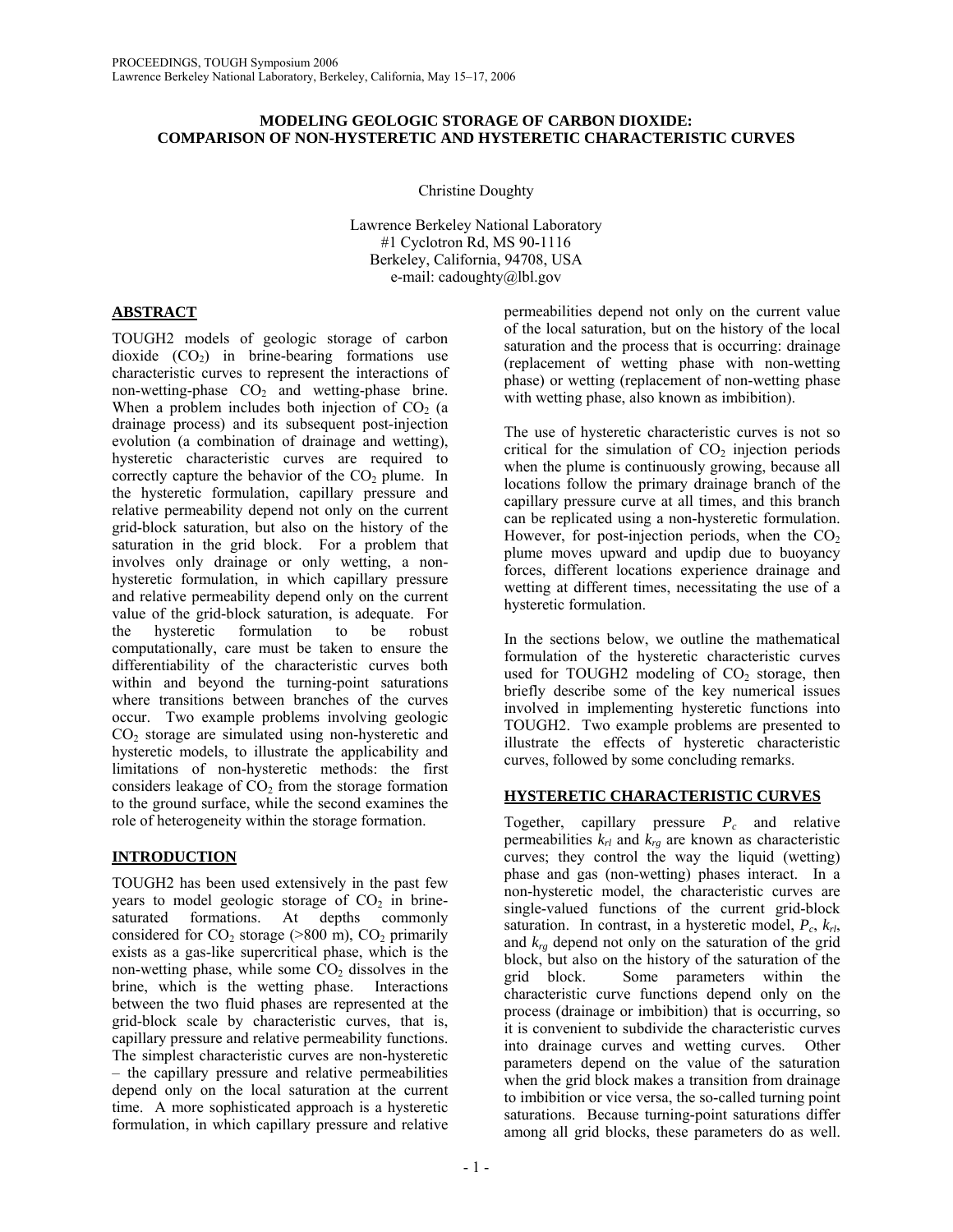## **MODELING GEOLOGIC STORAGE OF CARBON DIOXIDE: COMPARISON OF NON-HYSTERETIC AND HYSTERETIC CHARACTERISTIC CURVES**

Christine Doughty

Lawrence Berkeley National Laboratory #1 Cyclotron Rd, MS 90-1116 Berkeley, California, 94708, USA e-mail: cadoughty@lbl.gov

# **ABSTRACT**

TOUGH2 models of geologic storage of carbon dioxide  $(CO_2)$  in brine-bearing formations use characteristic curves to represent the interactions of non-wetting-phase  $CO<sub>2</sub>$  and wetting-phase brine. When a problem includes both injection of  $CO<sub>2</sub>$  (a drainage process) and its subsequent post-injection evolution (a combination of drainage and wetting), hysteretic characteristic curves are required to correctly capture the behavior of the  $CO<sub>2</sub>$  plume. In the hysteretic formulation, capillary pressure and relative permeability depend not only on the current grid-block saturation, but also on the history of the saturation in the grid block. For a problem that involves only drainage or only wetting, a nonhysteretic formulation, in which capillary pressure and relative permeability depend only on the current value of the grid-block saturation, is adequate. For the hysteretic formulation to be robust computationally, care must be taken to ensure the differentiability of the characteristic curves both within and beyond the turning-point saturations where transitions between branches of the curves occur. Two example problems involving geologic  $CO<sub>2</sub>$  storage are simulated using non-hysteretic and hysteretic models, to illustrate the applicability and limitations of non-hysteretic methods: the first considers leakage of  $CO<sub>2</sub>$  from the storage formation to the ground surface, while the second examines the role of heterogeneity within the storage formation.

# **INTRODUCTION**

TOUGH2 has been used extensively in the past few years to model geologic storage of  $CO<sub>2</sub>$  in brinesaturated formations. At depths commonly considered for  $CO_2$  storage (>800 m),  $CO_2$  primarily exists as a gas-like supercritical phase, which is the non-wetting phase, while some  $CO<sub>2</sub>$  dissolves in the brine, which is the wetting phase. Interactions between the two fluid phases are represented at the grid-block scale by characteristic curves, that is, capillary pressure and relative permeability functions. The simplest characteristic curves are non-hysteretic – the capillary pressure and relative permeabilities depend only on the local saturation at the current time. A more sophisticated approach is a hysteretic formulation, in which capillary pressure and relative

permeabilities depend not only on the current value of the local saturation, but on the history of the local saturation and the process that is occurring: drainage (replacement of wetting phase with non-wetting phase) or wetting (replacement of non-wetting phase with wetting phase, also known as imbibition).

The use of hysteretic characteristic curves is not so critical for the simulation of  $CO<sub>2</sub>$  injection periods when the plume is continuously growing, because all locations follow the primary drainage branch of the capillary pressure curve at all times, and this branch can be replicated using a non-hysteretic formulation. However, for post-injection periods, when the  $CO<sub>2</sub>$ plume moves upward and updip due to buoyancy forces, different locations experience drainage and wetting at different times, necessitating the use of a hysteretic formulation.

In the sections below, we outline the mathematical formulation of the hysteretic characteristic curves used for TOUGH2 modeling of  $CO<sub>2</sub>$  storage, then briefly describe some of the key numerical issues involved in implementing hysteretic functions into TOUGH2. Two example problems are presented to illustrate the effects of hysteretic characteristic curves, followed by some concluding remarks.

# **HYSTERETIC CHARACTERISTIC CURVES**

Together, capillary pressure *Pc* and relative permeabilities  $k_{rl}$  and  $k_{re}$  are known as characteristic curves; they control the way the liquid (wetting) phase and gas (non-wetting) phases interact. In a non-hysteretic model, the characteristic curves are single-valued functions of the current grid-block saturation. In contrast, in a hysteretic model,  $P_c$ ,  $k_{rl}$ , and  $k_{r\rho}$  depend not only on the saturation of the grid block, but also on the history of the saturation of the grid block. Some parameters within the characteristic curve functions depend only on the process (drainage or imbibition) that is occurring, so it is convenient to subdivide the characteristic curves into drainage curves and wetting curves. Other parameters depend on the value of the saturation when the grid block makes a transition from drainage to imbibition or vice versa, the so-called turning point saturations. Because turning-point saturations differ among all grid blocks, these parameters do as well.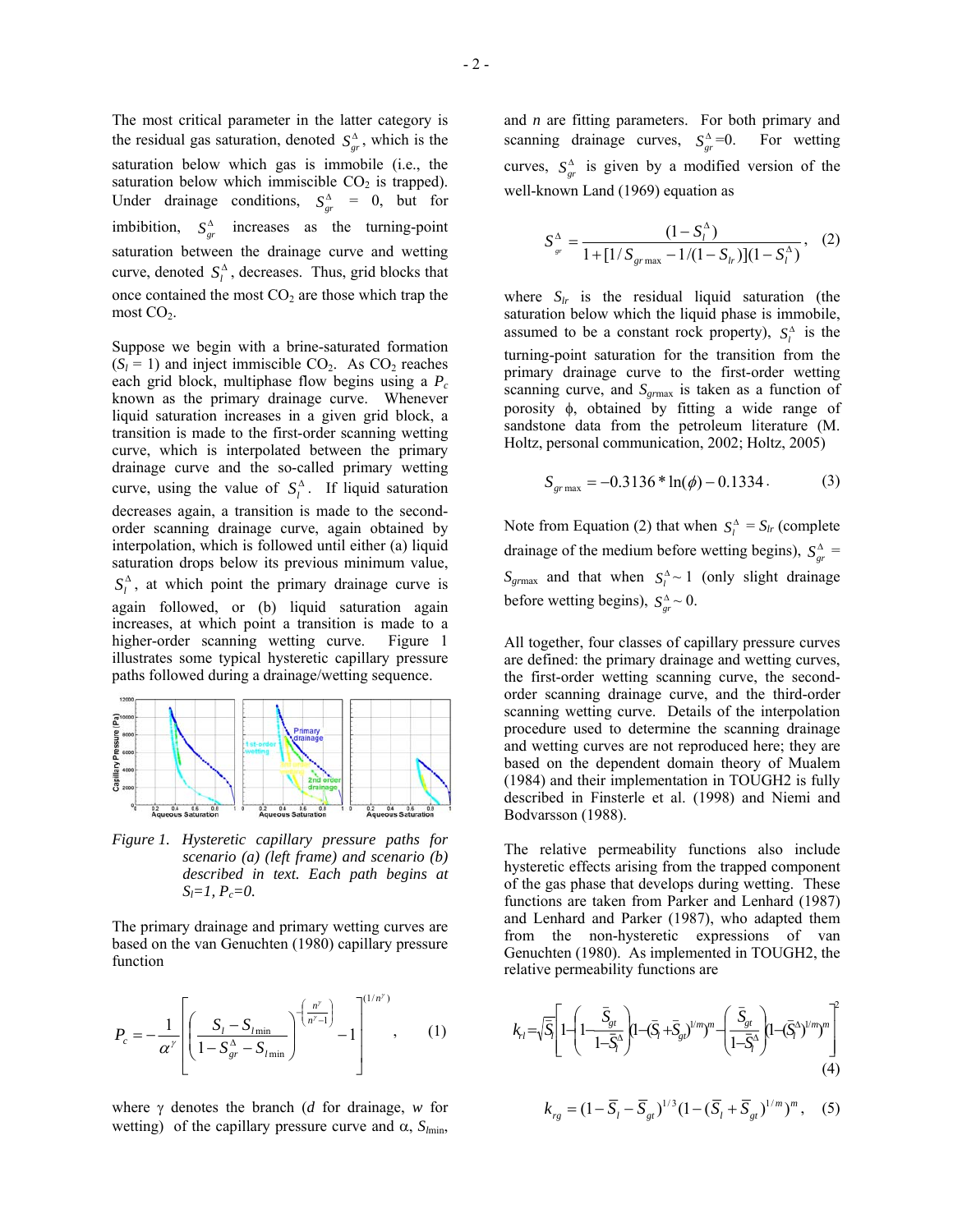The most critical parameter in the latter category is the residual gas saturation, denoted  $S_{gr}^{\Delta}$ , which is the saturation below which gas is immobile (i.e., the saturation below which immiscible  $CO<sub>2</sub>$  is trapped). Under drainage conditions,  $S_{gr}^{\Delta} = 0$ , but for imbibition,  $S_{gr}^{\Delta}$  increases as the turning-point saturation between the drainage curve and wetting curve, denoted  $S_i^{\Delta}$ , decreases. Thus, grid blocks that once contained the most  $CO<sub>2</sub>$  are those which trap the most  $CO<sub>2</sub>$ .

Suppose we begin with a brine-saturated formation  $(S_l = 1)$  and inject immiscible  $CO_2$ . As  $CO_2$  reaches each grid block, multiphase flow begins using a *P<sub>c</sub>* known as the primary drainage curve. Whenever liquid saturation increases in a given grid block, a transition is made to the first-order scanning wetting curve, which is interpolated between the primary drainage curve and the so-called primary wetting curve, using the value of  $S_i^{\Delta}$ . If liquid saturation decreases again, a transition is made to the secondorder scanning drainage curve, again obtained by interpolation, which is followed until either (a) liquid saturation drops below its previous minimum value,  $S_l^{\Delta}$ , at which point the primary drainage curve is again followed, or (b) liquid saturation again increases, at which point a transition is made to a higher-order scanning wetting curve. Figure 1 illustrates some typical hysteretic capillary pressure paths followed during a drainage/wetting sequence.



*Figure 1. Hysteretic capillary pressure paths for scenario (a) (left frame) and scenario (b) described in text. Each path begins at*   $S_l=1, P_c=0.$ 

The primary drainage and primary wetting curves are based on the van Genuchten (1980) capillary pressure function

$$
P_c = -\frac{1}{\alpha^{\gamma}} \left[ \left( \frac{S_l - S_{l_{\min}}}{1 - S_{gr}^{\Delta} - S_{l_{\min}}} \right)^{-\left( \frac{n^{\gamma}}{n^{\gamma} - 1} \right)} - 1 \right]^{(1/n^{\gamma})}, \quad (1)
$$

where γ denotes the branch (*d* for drainage, *w* for wetting) of the capillary pressure curve and  $\alpha$ ,  $S_{lmin}$ ,

and *n* are fitting parameters. For both primary and scanning drainage curves,  $S_{gr}^{\Delta}=0$ . For wetting curves,  $S_{gr}^{\Delta}$  is given by a modified version of the well-known Land (1969) equation as

$$
S_{_{sr}}^{\Delta} = \frac{(1 - S_t^{\Delta})}{1 + [1/S_{_{grmax}} - 1/(1 - S_{tr})](1 - S_t^{\Delta})}, \quad (2)
$$

where  $S_{lr}$  is the residual liquid saturation (the saturation below which the liquid phase is immobile, assumed to be a constant rock property),  $S_l^{\Delta}$  is the turning-point saturation for the transition from the primary drainage curve to the first-order wetting scanning curve, and  $S_{\text{grmax}}$  is taken as a function of porosity φ, obtained by fitting a wide range of sandstone data from the petroleum literature (M. Holtz, personal communication, 2002; Holtz, 2005)

$$
S_{\text{grmax}} = -0.3136 * \ln(\phi) - 0.1334. \tag{3}
$$

Note from Equation (2) that when  $S_l^{\Delta} = S_{lr}$  (complete drainage of the medium before wetting begins),  $S_{gr}^{\Delta}$  =  $S_{\text{grmax}}$  and that when  $S_l^{\Delta} \sim 1$  (only slight drainage before wetting begins),  $S_{gr}^{\Delta} \sim 0$ .

All together, four classes of capillary pressure curves are defined: the primary drainage and wetting curves, the first-order wetting scanning curve, the secondorder scanning drainage curve, and the third-order scanning wetting curve. Details of the interpolation procedure used to determine the scanning drainage and wetting curves are not reproduced here; they are based on the dependent domain theory of Mualem (1984) and their implementation in TOUGH2 is fully described in Finsterle et al. (1998) and Niemi and Bodvarsson (1988).

The relative permeability functions also include hysteretic effects arising from the trapped component of the gas phase that develops during wetting. These functions are taken from Parker and Lenhard (1987) and Lenhard and Parker (1987), who adapted them from the non-hysteretic expressions of van Genuchten (1980). As implemented in TOUGH2, the relative permeability functions are

$$
k_{rl} = \sqrt{\overline{S}_l} \left[ 1 - \left( 1 - \frac{\overline{S}_{gt}}{1 - \overline{S}_l^{\Delta}} \right) \left( 1 - (\overline{S}_l + \overline{S}_{gt})^{1/m} \right)^m - \left( \frac{\overline{S}_{gt}}{1 - \overline{S}_l^{\Delta}} \right) \left( 1 - (\overline{S}_l^{\Delta})^{1/m} \right)^m \right] \tag{4}
$$

$$
k_{rg} = (1 - \overline{S}_l - \overline{S}_{gt})^{1/3} (1 - (\overline{S}_l + \overline{S}_{gt})^{1/m})^m, \quad (5)
$$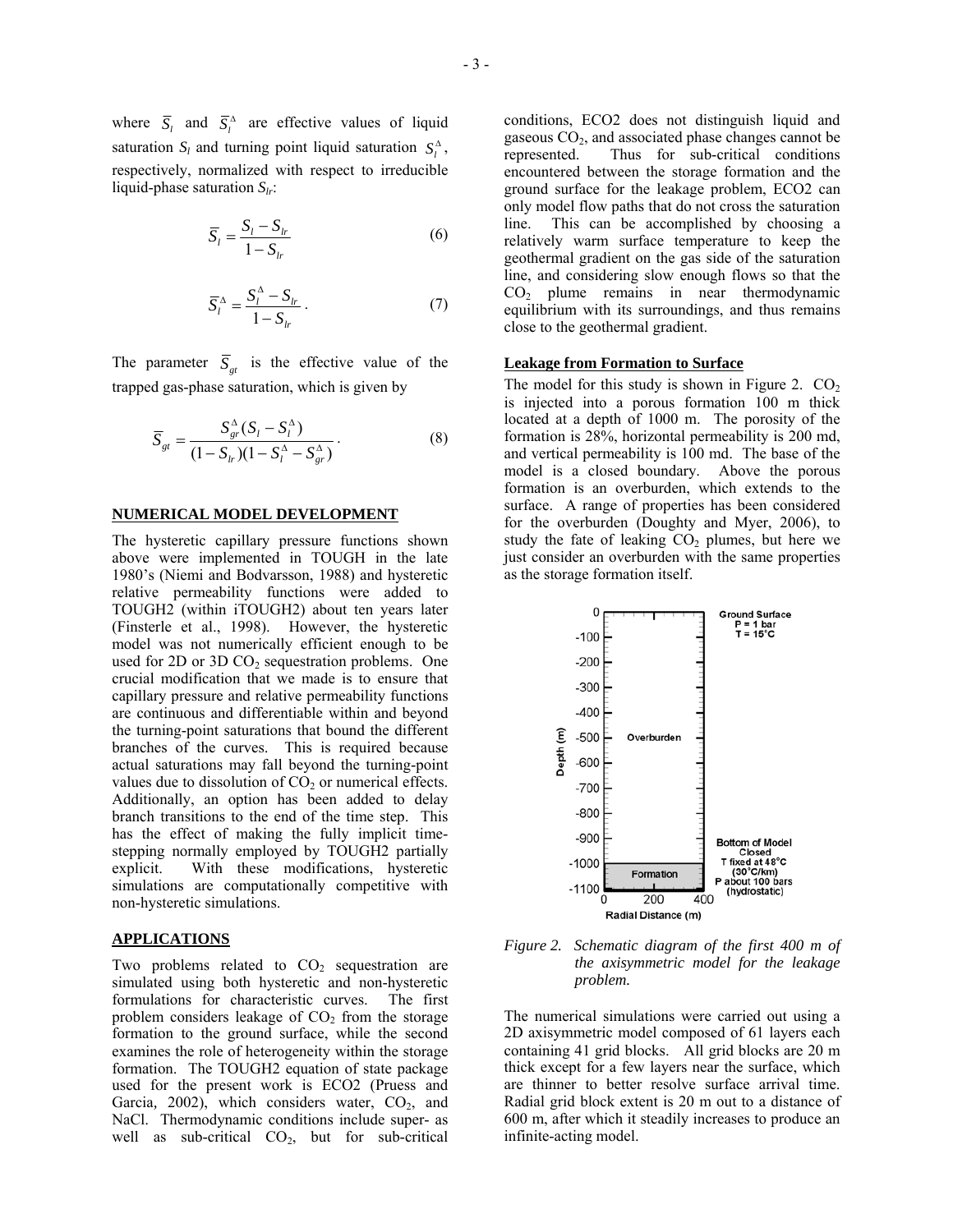where  $\overline{S}_l$  and  $\overline{S}_l^{\Delta}$  are effective values of liquid saturation  $S_l$  and turning point liquid saturation  $S_l^{\Delta}$ , respectively, normalized with respect to irreducible liquid-phase saturation *Slr*:

$$
\overline{S}_l = \frac{S_l - S_{lr}}{1 - S_{lr}}\tag{6}
$$

$$
\overline{S}_{l}^{\Delta} = \frac{S_{l}^{\Delta} - S_{lr}}{1 - S_{lr}}.
$$
\n(7)

The parameter  $\overline{S}_{at}$  is the effective value of the trapped gas-phase saturation, which is given by

$$
\overline{S}_{gt} = \frac{S_{gr}^{\Delta}(S_l - S_l^{\Delta})}{(1 - S_{lr})(1 - S_l^{\Delta} - S_{gr}^{\Delta})}.
$$
\n(8)

## **NUMERICAL MODEL DEVELOPMENT**

The hysteretic capillary pressure functions shown above were implemented in TOUGH in the late 1980's (Niemi and Bodvarsson, 1988) and hysteretic relative permeability functions were added to TOUGH2 (within iTOUGH2) about ten years later (Finsterle et al., 1998). However, the hysteretic model was not numerically efficient enough to be used for 2D or 3D CO<sub>2</sub> sequestration problems. One crucial modification that we made is to ensure that capillary pressure and relative permeability functions are continuous and differentiable within and beyond the turning-point saturations that bound the different branches of the curves. This is required because actual saturations may fall beyond the turning-point values due to dissolution of  $CO<sub>2</sub>$  or numerical effects. Additionally, an option has been added to delay branch transitions to the end of the time step. This has the effect of making the fully implicit timestepping normally employed by TOUGH2 partially explicit. With these modifications, hysteretic simulations are computationally competitive with non-hysteretic simulations.

## **APPLICATIONS**

Two problems related to  $CO<sub>2</sub>$  sequestration are simulated using both hysteretic and non-hysteretic formulations for characteristic curves. The first problem considers leakage of  $CO<sub>2</sub>$  from the storage formation to the ground surface, while the second examines the role of heterogeneity within the storage formation. The TOUGH2 equation of state package used for the present work is ECO2 (Pruess and Garcia, 2002), which considers water, CO<sub>2</sub>, and NaCl. Thermodynamic conditions include super- as well as sub-critical  $CO<sub>2</sub>$ , but for sub-critical

conditions, ECO2 does not distinguish liquid and gaseous  $CO<sub>2</sub>$ , and associated phase changes cannot be represented. Thus for sub-critical conditions encountered between the storage formation and the ground surface for the leakage problem, ECO2 can only model flow paths that do not cross the saturation line. This can be accomplished by choosing a relatively warm surface temperature to keep the geothermal gradient on the gas side of the saturation line, and considering slow enough flows so that the CO2 plume remains in near thermodynamic equilibrium with its surroundings, and thus remains close to the geothermal gradient.

#### **Leakage from Formation to Surface**

The model for this study is shown in Figure 2.  $CO<sub>2</sub>$ is injected into a porous formation 100 m thick located at a depth of 1000 m. The porosity of the formation is 28%, horizontal permeability is 200 md, and vertical permeability is 100 md. The base of the model is a closed boundary. Above the porous formation is an overburden, which extends to the surface. A range of properties has been considered for the overburden (Doughty and Myer, 2006), to study the fate of leaking  $CO<sub>2</sub>$  plumes, but here we just consider an overburden with the same properties as the storage formation itself.



*Figure 2. Schematic diagram of the first 400 m of the axisymmetric model for the leakage problem.* 

The numerical simulations were carried out using a 2D axisymmetric model composed of 61 layers each containing 41 grid blocks. All grid blocks are 20 m thick except for a few layers near the surface, which are thinner to better resolve surface arrival time. Radial grid block extent is 20 m out to a distance of 600 m, after which it steadily increases to produce an infinite-acting model.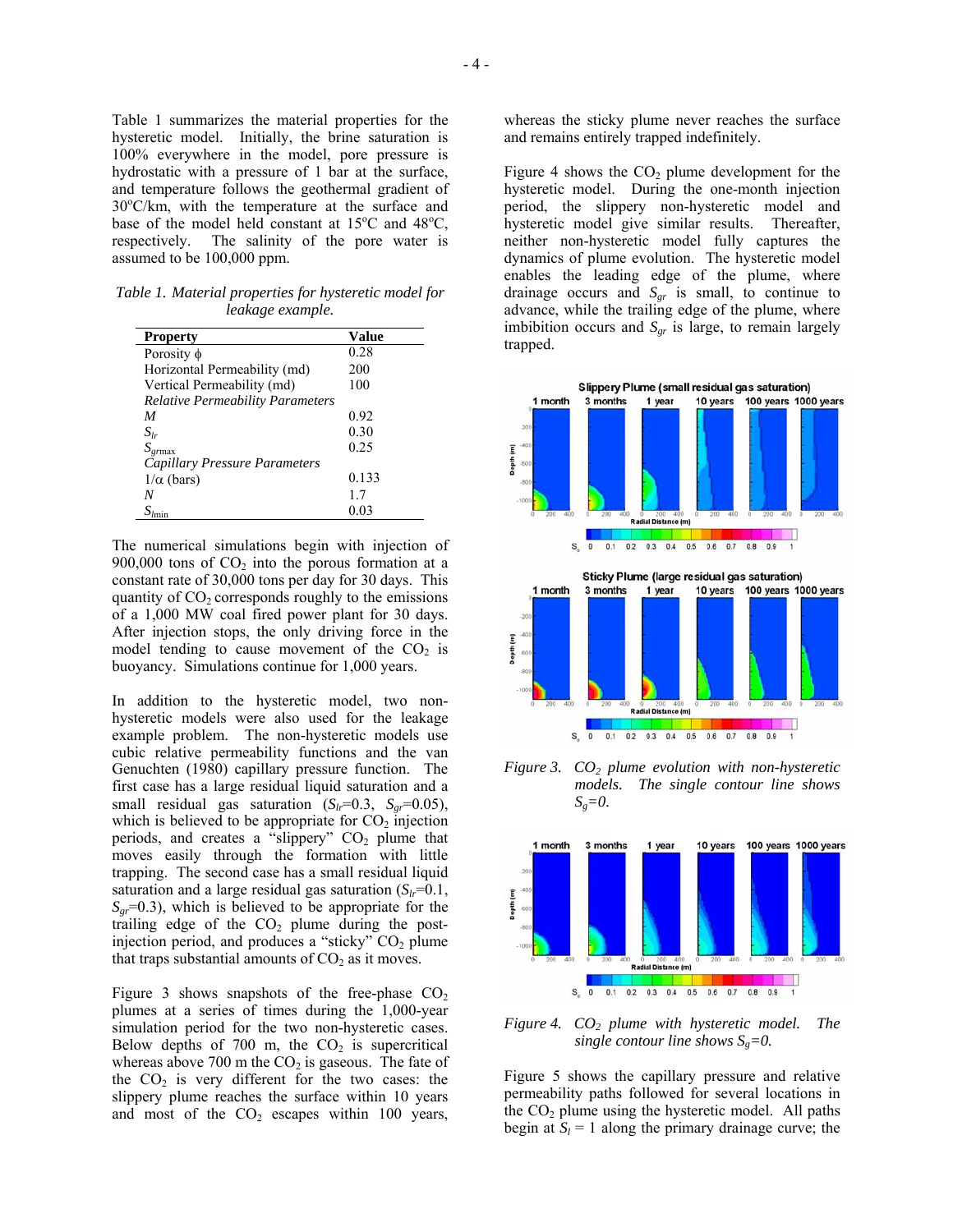Table 1 summarizes the material properties for the hysteretic model. Initially, the brine saturation is 100% everywhere in the model, pore pressure is hydrostatic with a pressure of 1 bar at the surface, and temperature follows the geothermal gradient of 30°C/km, with the temperature at the surface and base of the model held constant at  $15^{\circ}$ C and  $48^{\circ}$ C, respectively. The salinity of the pore water is assumed to be 100,000 ppm.

*Table 1. Material properties for hysteretic model for leakage example.* 

| <b>Property</b>                         | Value |
|-----------------------------------------|-------|
| Porosity $\phi$                         | 0.28  |
| Horizontal Permeability (md)            | 200   |
| Vertical Permeability (md)              | 100   |
| <b>Relative Permeability Parameters</b> |       |
| M                                       | 0.92  |
| $S_{lr}$                                | 0.30  |
| $S_{grmax}$                             | 0.25  |
| Capillary Pressure Parameters           |       |
| $1/\alpha$ (bars)                       | 0.133 |
|                                         | 17    |
|                                         | 0.03  |

The numerical simulations begin with injection of 900,000 tons of  $CO<sub>2</sub>$  into the porous formation at a constant rate of 30,000 tons per day for 30 days. This quantity of  $CO<sub>2</sub>$  corresponds roughly to the emissions of a 1,000 MW coal fired power plant for 30 days. After injection stops, the only driving force in the model tending to cause movement of the  $CO<sub>2</sub>$  is buoyancy. Simulations continue for 1,000 years.

In addition to the hysteretic model, two nonhysteretic models were also used for the leakage example problem. The non-hysteretic models use cubic relative permeability functions and the van Genuchten (1980) capillary pressure function. The first case has a large residual liquid saturation and a small residual gas saturation  $(S_h=0.3, S_{gr}=0.05)$ , which is believed to be appropriate for  $CO<sub>2</sub>$  injection periods, and creates a "slippery"  $CO<sub>2</sub>$  plume that moves easily through the formation with little trapping. The second case has a small residual liquid saturation and a large residual gas saturation  $(S_h=0.1,$  $S_{\text{gr}}$ =0.3), which is believed to be appropriate for the trailing edge of the  $CO<sub>2</sub>$  plume during the postinjection period, and produces a "sticky"  $CO<sub>2</sub>$  plume that traps substantial amounts of  $CO<sub>2</sub>$  as it moves.

Figure 3 shows snapshots of the free-phase  $CO<sub>2</sub>$ plumes at a series of times during the 1,000-year simulation period for the two non-hysteretic cases. Below depths of 700 m, the  $CO<sub>2</sub>$  is supercritical whereas above 700 m the  $CO<sub>2</sub>$  is gaseous. The fate of the  $CO<sub>2</sub>$  is very different for the two cases: the slippery plume reaches the surface within 10 years and most of the  $CO<sub>2</sub>$  escapes within 100 years, whereas the sticky plume never reaches the surface and remains entirely trapped indefinitely.

Figure 4 shows the  $CO<sub>2</sub>$  plume development for the hysteretic model. During the one-month injection period, the slippery non-hysteretic model and hysteretic model give similar results. Thereafter, neither non-hysteretic model fully captures the dynamics of plume evolution. The hysteretic model enables the leading edge of the plume, where drainage occurs and  $S_{gr}$  is small, to continue to advance, while the trailing edge of the plume, where imbibition occurs and  $S_{gr}$  is large, to remain largely trapped.



*Figure 3. CO2 plume evolution with non-hysteretic models. The single contour line shows*   $S_g=0$ .



*Figure 4. CO2 plume with hysteretic model. The single contour line shows*  $S<sub>g</sub>=0$ .

Figure 5 shows the capillary pressure and relative permeability paths followed for several locations in the  $CO<sub>2</sub>$  plume using the hysteretic model. All paths begin at  $S_l = 1$  along the primary drainage curve; the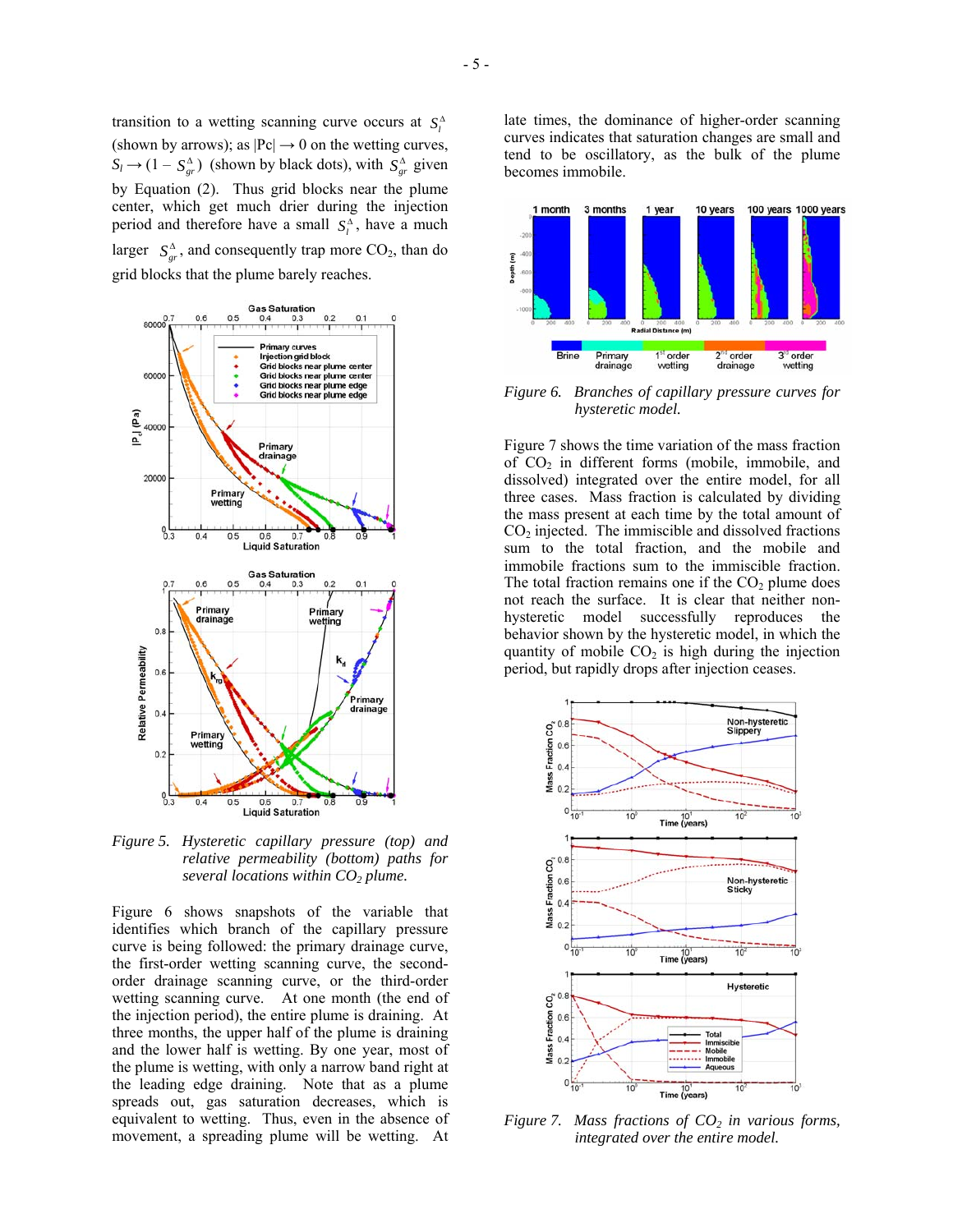transition to a wetting scanning curve occurs at  $S_l^{\Delta}$ (shown by arrows); as  $|Pc| \rightarrow 0$  on the wetting curves,  $S_l \rightarrow (1 - S_{gr}^{\Delta})$  (shown by black dots), with  $S_{gr}^{\Delta}$  given

by Equation (2). Thus grid blocks near the plume center, which get much drier during the injection period and therefore have a small  $S_l^{\Delta}$ , have a much larger  $S_{\alpha}^{\Delta}$ , and consequently trap more CO<sub>2</sub>, than do grid blocks that the plume barely reaches.



*Figure 5. Hysteretic capillary pressure (top) and relative permeability (bottom) paths for several locations within CO2 plume.* 

Figure 6 shows snapshots of the variable that identifies which branch of the capillary pressure curve is being followed: the primary drainage curve, the first-order wetting scanning curve, the secondorder drainage scanning curve, or the third-order wetting scanning curve. At one month (the end of the injection period), the entire plume is draining. At three months, the upper half of the plume is draining and the lower half is wetting. By one year, most of the plume is wetting, with only a narrow band right at the leading edge draining. Note that as a plume spreads out, gas saturation decreases, which is equivalent to wetting. Thus, even in the absence of movement, a spreading plume will be wetting. At



*Figure 6. Branches of capillary pressure curves for hysteretic model.* 

Figure 7 shows the time variation of the mass fraction of  $CO<sub>2</sub>$  in different forms (mobile, immobile, and dissolved) integrated over the entire model, for all three cases. Mass fraction is calculated by dividing the mass present at each time by the total amount of  $CO<sub>2</sub>$  injected. The immiscible and dissolved fractions sum to the total fraction, and the mobile and immobile fractions sum to the immiscible fraction. The total fraction remains one if the  $CO<sub>2</sub>$  plume does not reach the surface. It is clear that neither nonhysteretic model successfully reproduces the behavior shown by the hysteretic model, in which the quantity of mobile  $CO<sub>2</sub>$  is high during the injection period, but rapidly drops after injection ceases.



*Figure 7. Mass fractions of*  $CO<sub>2</sub>$  *in various forms, integrated over the entire model.*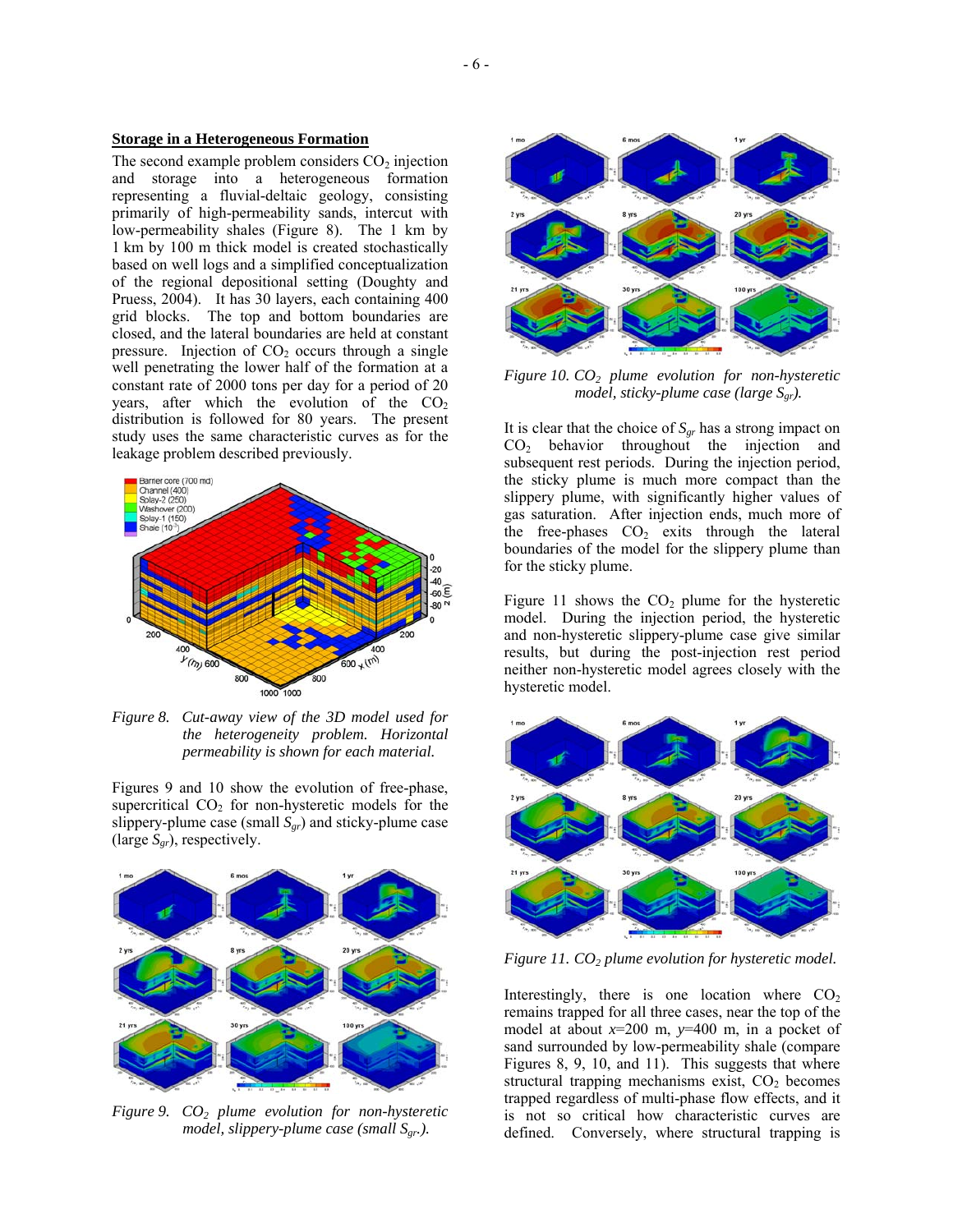## **Storage in a Heterogeneous Formation**

The second example problem considers  $CO<sub>2</sub>$  injection and storage into a heterogeneous formation representing a fluvial-deltaic geology, consisting primarily of high-permeability sands, intercut with low-permeability shales (Figure 8). The 1 km by 1 km by 100 m thick model is created stochastically based on well logs and a simplified conceptualization of the regional depositional setting (Doughty and Pruess, 2004). It has 30 layers, each containing 400 grid blocks. The top and bottom boundaries are closed, and the lateral boundaries are held at constant pressure. Injection of  $CO<sub>2</sub>$  occurs through a single well penetrating the lower half of the formation at a constant rate of 2000 tons per day for a period of 20 years, after which the evolution of the  $CO<sub>2</sub>$ distribution is followed for 80 years. The present study uses the same characteristic curves as for the leakage problem described previously.



*Figure 8. Cut-away view of the 3D model used for the heterogeneity problem. Horizontal permeability is shown for each material.* 

Figures 9 and 10 show the evolution of free-phase, supercritical  $CO<sub>2</sub>$  for non-hysteretic models for the slippery-plume case (small  $S_{gr}$ ) and sticky-plume case (large *Sgr*), respectively.



*Figure 9. CO2 plume evolution for non-hysteretic model, slippery-plume case (small Sgr.).* 



*Figure 10. CO2 plume evolution for non-hysteretic model, sticky-plume case (large S<sub>gr</sub>).* 

It is clear that the choice of  $S_{gr}$  has a strong impact on  $CO<sub>2</sub>$  behavior throughout the injection and subsequent rest periods. During the injection period, the sticky plume is much more compact than the slippery plume, with significantly higher values of gas saturation. After injection ends, much more of the free-phases  $CO<sub>2</sub>$  exits through the lateral boundaries of the model for the slippery plume than for the sticky plume.

Figure 11 shows the  $CO<sub>2</sub>$  plume for the hysteretic model. During the injection period, the hysteretic and non-hysteretic slippery-plume case give similar results, but during the post-injection rest period neither non-hysteretic model agrees closely with the hysteretic model.



*Figure 11. CO2 plume evolution for hysteretic model.* 

Interestingly, there is one location where  $CO<sub>2</sub>$ remains trapped for all three cases, near the top of the model at about  $x=200$  m,  $y=400$  m, in a pocket of sand surrounded by low-permeability shale (compare Figures 8, 9, 10, and 11). This suggests that where structural trapping mechanisms exist,  $CO<sub>2</sub>$  becomes trapped regardless of multi-phase flow effects, and it is not so critical how characteristic curves are defined. Conversely, where structural trapping is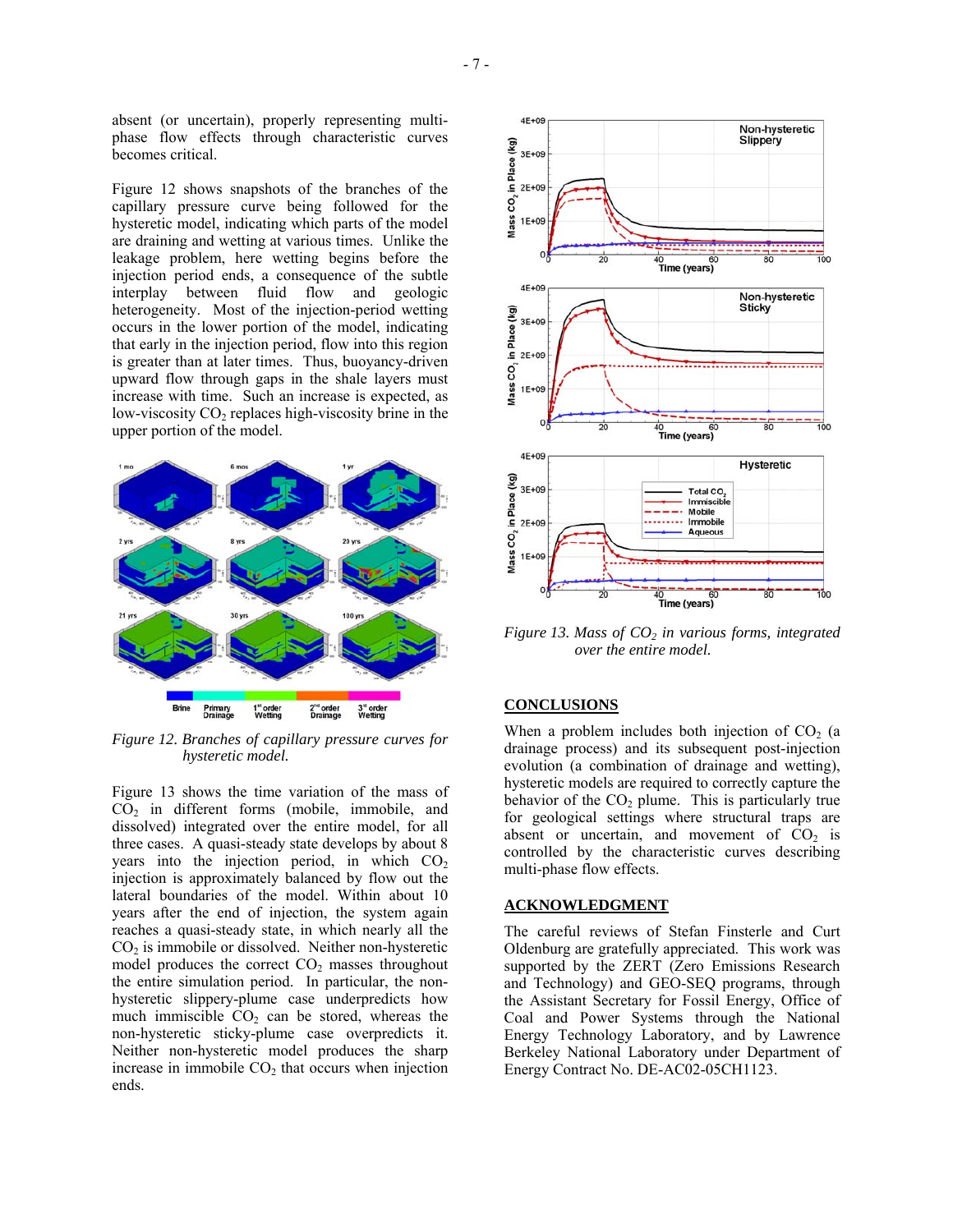absent (or uncertain), properly representing multiphase flow effects through characteristic curves becomes critical.

Figure 12 shows snapshots of the branches of the capillary pressure curve being followed for the hysteretic model, indicating which parts of the model are draining and wetting at various times. Unlike the leakage problem, here wetting begins before the injection period ends, a consequence of the subtle interplay between fluid flow and geologic heterogeneity. Most of the injection-period wetting occurs in the lower portion of the model, indicating that early in the injection period, flow into this region is greater than at later times. Thus, buoyancy-driven upward flow through gaps in the shale layers must increase with time. Such an increase is expected, as low-viscosity  $CO<sub>2</sub>$  replaces high-viscosity brine in the upper portion of the model.



*Figure 12. Branches of capillary pressure curves for hysteretic model.* 

Figure 13 shows the time variation of the mass of  $CO<sub>2</sub>$  in different forms (mobile, immobile, and dissolved) integrated over the entire model, for all three cases. A quasi-steady state develops by about 8 years into the injection period, in which  $CO<sub>2</sub>$ injection is approximately balanced by flow out the lateral boundaries of the model. Within about 10 years after the end of injection, the system again reaches a quasi-steady state, in which nearly all the  $CO<sub>2</sub>$  is immobile or dissolved. Neither non-hysteretic model produces the correct  $CO<sub>2</sub>$  masses throughout the entire simulation period. In particular, the nonhysteretic slippery-plume case underpredicts how much immiscible  $CO<sub>2</sub>$  can be stored, whereas the non-hysteretic sticky-plume case overpredicts it. Neither non-hysteretic model produces the sharp increase in immobile  $CO<sub>2</sub>$  that occurs when injection ends.



*Figure 13. Mass of CO<sub>2</sub> in various forms, integrated over the entire model.* 

## **CONCLUSIONS**

When a problem includes both injection of  $CO<sub>2</sub>$  (a drainage process) and its subsequent post-injection evolution (a combination of drainage and wetting), hysteretic models are required to correctly capture the behavior of the  $CO<sub>2</sub>$  plume. This is particularly true for geological settings where structural traps are absent or uncertain, and movement of  $CO<sub>2</sub>$  is controlled by the characteristic curves describing multi-phase flow effects.

## **ACKNOWLEDGMENT**

The careful reviews of Stefan Finsterle and Curt Oldenburg are gratefully appreciated. This work was supported by the ZERT (Zero Emissions Research and Technology) and GEO-SEQ programs, through the Assistant Secretary for Fossil Energy, Office of Coal and Power Systems through the National Energy Technology Laboratory, and by Lawrence Berkeley National Laboratory under Department of Energy Contract No. DE-AC02-05CH1123.